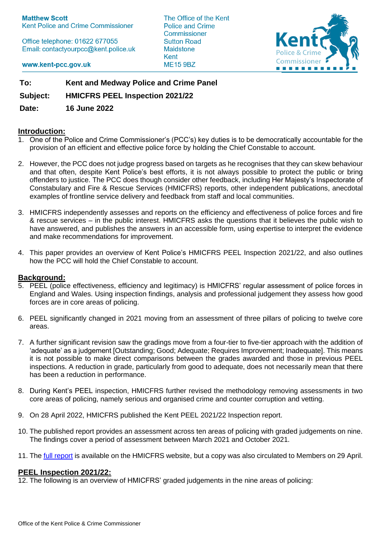**Matthew Scott** Kent Police and Crime Commissioner

Office telephone: 01622 677055 Email: contactyourpcc@kent.police.uk The Office of the Kent Police and Crime Commissioner **Sutton Road Maidstone** Kent **ME15 9BZ** 



www.kent-pcc.gov.uk

**To: Kent and Medway Police and Crime Panel**

**Subject: HMICFRS PEEL Inspection 2021/22**

**Date: 16 June 2022**

# **Introduction:**

- 1. One of the Police and Crime Commissioner's (PCC's) key duties is to be democratically accountable for the provision of an efficient and effective police force by holding the Chief Constable to account.
- 2. However, the PCC does not judge progress based on targets as he recognises that they can skew behaviour and that often, despite Kent Police's best efforts, it is not always possible to protect the public or bring offenders to justice. The PCC does though consider other feedback, including Her Majesty's Inspectorate of Constabulary and Fire & Rescue Services (HMICFRS) reports, other independent publications, anecdotal examples of frontline service delivery and feedback from staff and local communities.
- 3. HMICFRS independently assesses and reports on the efficiency and effectiveness of police forces and fire & rescue services – in the public interest. HMICFRS asks the questions that it believes the public wish to have answered, and publishes the answers in an accessible form, using expertise to interpret the evidence and make recommendations for improvement.
- 4. This paper provides an overview of Kent Police's HMICFRS PEEL Inspection 2021/22, and also outlines how the PCC will hold the Chief Constable to account.

## **Background:**

- 5. PEEL (police effectiveness, efficiency and legitimacy) is HMICFRS' regular assessment of police forces in England and Wales. Using inspection findings, analysis and professional judgement they assess how good forces are in core areas of policing.
- 6. PEEL significantly changed in 2021 moving from an assessment of three pillars of policing to twelve core areas.
- 7. A further significant revision saw the gradings move from a four-tier to five-tier approach with the addition of 'adequate' as a judgement [Outstanding; Good; Adequate; Requires Improvement; Inadequate]. This means it is not possible to make direct comparisons between the grades awarded and those in previous PEEL inspections. A reduction in grade, particularly from good to adequate, does not necessarily mean that there has been a reduction in performance.
- 8. During Kent's PEEL inspection, HMICFRS further revised the methodology removing assessments in two core areas of policing, namely serious and organised crime and counter corruption and vetting.
- 9. On 28 April 2022, HMICFRS published the Kent PEEL 2021/22 Inspection report.
- 10. The published report provides an assessment across ten areas of policing with graded judgements on nine. The findings cover a period of assessment between March 2021 and October 2021.
- 11. The [full report](https://www.justiceinspectorates.gov.uk/hmicfrs/publications/peel-assessment-2021-22-kent/) is available on the HMICFRS website, but a copy was also circulated to Members on 29 April.

## **PEEL Inspection 2021/22:**

12. The following is an overview of HMICFRS' graded judgements in the nine areas of policing: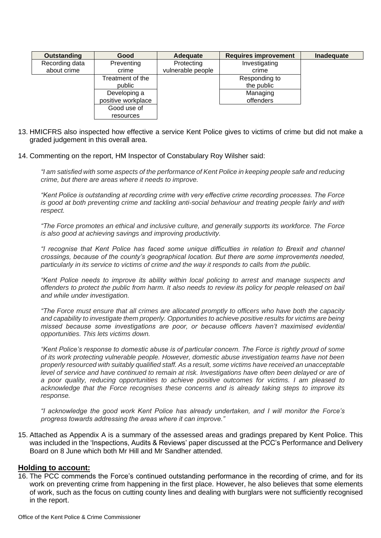| Outstanding    | Good               | Adequate          | <b>Requires improvement</b> | Inadequate |
|----------------|--------------------|-------------------|-----------------------------|------------|
| Recording data | Preventing         | Protecting        | Investigating               |            |
| about crime    | crime              | vulnerable people | crime                       |            |
|                | Treatment of the   |                   | Responding to               |            |
|                | public             |                   | the public                  |            |
|                | Developing a       |                   | Managing                    |            |
|                | positive workplace |                   | offenders                   |            |
|                | Good use of        |                   |                             |            |
|                | resources          |                   |                             |            |

- 13. HMICFRS also inspected how effective a service Kent Police gives to victims of crime but did not make a graded judgement in this overall area.
- 14. Commenting on the report, HM Inspector of Constabulary Roy Wilsher said:

*"I am satisfied with some aspects of the performance of Kent Police in keeping people safe and reducing crime, but there are areas where it needs to improve.*

*"Kent Police is outstanding at recording crime with very effective crime recording processes. The Force is good at both preventing crime and tackling anti-social behaviour and treating people fairly and with respect.*

*"The Force promotes an ethical and inclusive culture, and generally supports its workforce. The Force is also good at achieving savings and improving productivity.*

*"I recognise that Kent Police has faced some unique difficulties in relation to Brexit and channel crossings, because of the county's geographical location. But there are some improvements needed, particularly in its service to victims of crime and the way it responds to calls from the public.*

*"Kent Police needs to improve its ability within local policing to arrest and manage suspects and offenders to protect the public from harm. It also needs to review its policy for people released on bail and while under investigation.*

*"The Force must ensure that all crimes are allocated promptly to officers who have both the capacity and capability to investigate them properly. Opportunities to achieve positive results for victims are being missed because some investigations are poor, or because officers haven't maximised evidential opportunities. This lets victims down.*

*"Kent Police's response to domestic abuse is of particular concern. The Force is rightly proud of some of its work protecting vulnerable people. However, domestic abuse investigation teams have not been properly resourced with suitably qualified staff. As a result, some victims have received an unacceptable*  level of service and have continued to remain at risk. Investigations have often been delayed or are of *a poor quality, reducing opportunities to achieve positive outcomes for victims. I am pleased to acknowledge that the Force recognises these concerns and is already taking steps to improve its response.*

*"I acknowledge the good work Kent Police has already undertaken, and I will monitor the Force's progress towards addressing the areas where it can improve."*

15. Attached as Appendix A is a summary of the assessed areas and gradings prepared by Kent Police. This was included in the 'Inspections, Audits & Reviews' paper discussed at the PCC's Performance and Delivery Board on 8 June which both Mr Hill and Mr Sandher attended.

## **Holding to account:**

16. The PCC commends the Force's continued outstanding performance in the recording of crime, and for its work on preventing crime from happening in the first place. However, he also believes that some elements of work, such as the focus on cutting county lines and dealing with burglars were not sufficiently recognised in the report.